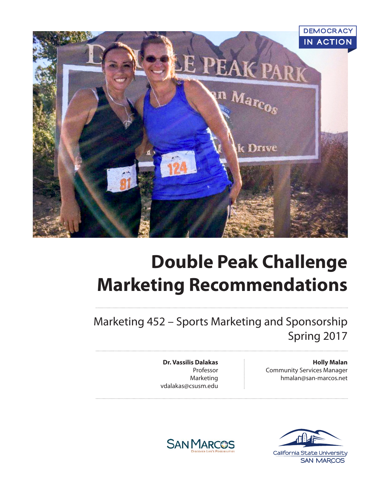

# **Double Peak Challenge Marketing Recommendations**

Marketing 452 – Sports Marketing and Sponsorship Spring 2017

> **Holly Malan** Community Services Manager hmalan@san-marcos.net

**Dr. Vassilis Dalakas** Professor Marketing vdalakas@csusm.edu



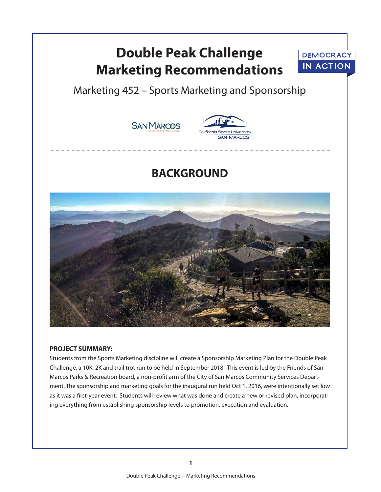## **Double Peak Challenge Marketing Recommendations**



Marketing 452 – Sports Marketing and Sponsorship





### **BACKGROUND**



#### **PROJECT SUMMARY:**

Students from the Sports Marketing discipline will create a Sponsorship Marketing Plan for the Double Peak Challenge, a 10K, 2K and trail trot run to be held in September 2018. This event is led by the Friends of San Marcos Parks & Recreation board, a non-profit arm of the City of San Marcos Community Services Department. The sponsorship and marketing goals for the inaugural run held Oct 1, 2016, were intentionally set low as it was a first-year event. Students will review what was done and create a new or revised plan, incorporating everything from establishing sponsorship levels to promotion, execution and evaluation.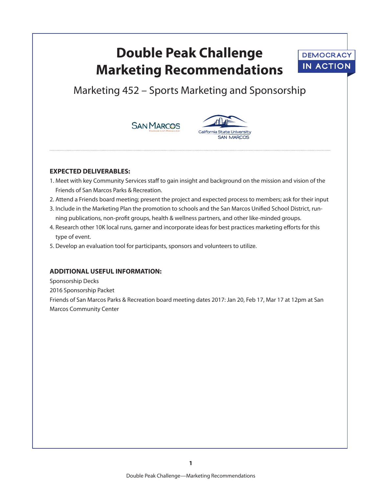## **Double Peak Challenge Marketing Recommendations**



### Marketing 452 – Sports Marketing and Sponsorship





#### **EXPECTED DELIVERABLES:**

- 1. Meet with key Community Services staff to gain insight and background on the mission and vision of the Friends of San Marcos Parks & Recreation.
- 2. Attend a Friends board meeting; present the project and expected process to members; ask for their input
- 3. Include in the Marketing Plan the promotion to schools and the San Marcos Unified School District, running publications, non-profit groups, health & wellness partners, and other like-minded groups.
- 4. Research other 10K local runs, garner and incorporate ideas for best practices marketing efforts for this type of event.
- 5. Develop an evaluation tool for participants, sponsors and volunteers to utilize.

#### **ADDITIONAL USEFUL INFORMATION:**

Sponsorship Decks

2016 Sponsorship Packet

Friends of San Marcos Parks & Recreation board meeting dates 2017: Jan 20, Feb 17, Mar 17 at 12pm at San Marcos Community Center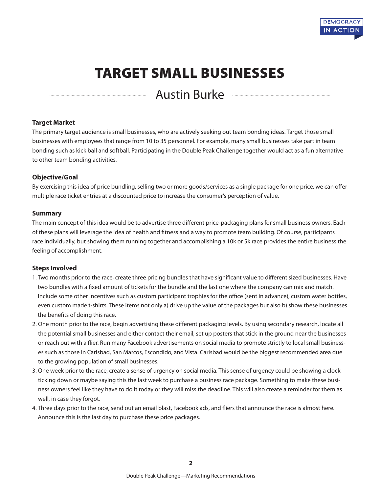

## TARGET SMALL BUSINESSES

Austin Burke

#### **Target Market**

The primary target audience is small businesses, who are actively seeking out team bonding ideas. Target those small businesses with employees that range from 10 to 35 personnel. For example, many small businesses take part in team bonding such as kick ball and softball. Participating in the Double Peak Challenge together would act as a fun alternative to other team bonding activities.

#### **Objective/Goal**

By exercising this idea of price bundling, selling two or more goods/services as a single package for one price, we can offer multiple race ticket entries at a discounted price to increase the consumer's perception of value.

#### **Summary**

The main concept of this idea would be to advertise three different price-packaging plans for small business owners. Each of these plans will leverage the idea of health and fitness and a way to promote team building. Of course, participants race individually, but showing them running together and accomplishing a 10k or 5k race provides the entire business the feeling of accomplishment.

#### **Steps Involved**

- 1. Two months prior to the race, create three pricing bundles that have significant value to different sized businesses. Have two bundles with a fixed amount of tickets for the bundle and the last one where the company can mix and match. Include some other incentives such as custom participant trophies for the office (sent in advance), custom water bottles, even custom made t-shirts. These items not only a) drive up the value of the packages but also b) show these businesses the benefits of doing this race.
- 2. One month prior to the race, begin advertising these different packaging levels. By using secondary research, locate all the potential small businesses and either contact their email, set up posters that stick in the ground near the businesses or reach out with a flier. Run many Facebook advertisements on social media to promote strictly to local small businesses such as those in Carlsbad, San Marcos, Escondido, and Vista. Carlsbad would be the biggest recommended area due to the growing population of small businesses.
- 3. One week prior to the race, create a sense of urgency on social media. This sense of urgency could be showing a clock ticking down or maybe saying this the last week to purchase a business race package. Something to make these business owners feel like they have to do it today or they will miss the deadline. This will also create a reminder for them as well, in case they forgot.
- 4. Three days prior to the race, send out an email blast, Facebook ads, and fliers that announce the race is almost here. Announce this is the last day to purchase these price packages.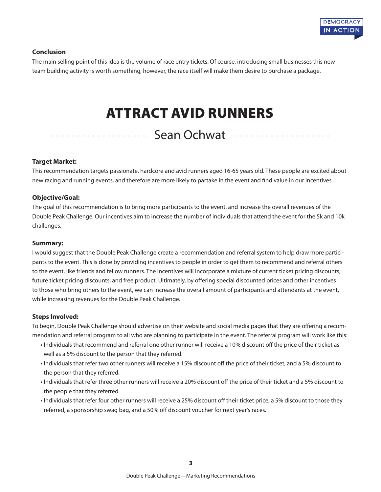

#### **Conclusion**

The main selling point of this idea is the volume of race entry tickets. Of course, introducing small businesses this new team building activity is worth something, however, the race itself will make them desire to purchase a package.

## ATTRACT AVID RUNNERS

### Sean Ochwat

#### **Target Market:**

This recommendation targets passionate, hardcore and avid runners aged 16-65 years old. These people are excited about new racing and running events, and therefore are more likely to partake in the event and find value in our incentives.

#### **Objective/Goal:**

The goal of this recommendation is to bring more participants to the event, and increase the overall revenues of the Double Peak Challenge. Our incentives aim to increase the number of individuals that attend the event for the 5k and 10k challenges.

#### **Summary:**

I would suggest that the Double Peak Challenge create a recommendation and referral system to help draw more participants to the event. This is done by providing incentives to people in order to get them to recommend and referral others to the event, like friends and fellow runners. The incentives will incorporate a mixture of current ticket pricing discounts, future ticket pricing discounts, and free product. Ultimately, by offering special discounted prices and other incentives to those who bring others to the event, we can increase the overall amount of participants and attendants at the event, while increasing revenues for the Double Peak Challenge.

#### **Steps Involved:**

To begin, Double Peak Challenge should advertise on their website and social media pages that they are offering a recommendation and referral program to all who are planning to participate in the event. The referral program will work like this:

- Individuals that recommend and referral one other runner will receive a 10% discount off the price of their ticket as well as a 5% discount to the person that they referred.
- Individuals that refer two other runners will receive a 15% discount off the price of their ticket, and a 5% discount to the person that they referred.
- Individuals that refer three other runners will receive a 20% discount off the price of their ticket and a 5% discount to the people that they referred.
- Individuals that refer four other runners will receive a 25% discount off their ticket price, a 5% discount to those they referred, a sponsorship swag bag, and a 50% off discount voucher for next year's races.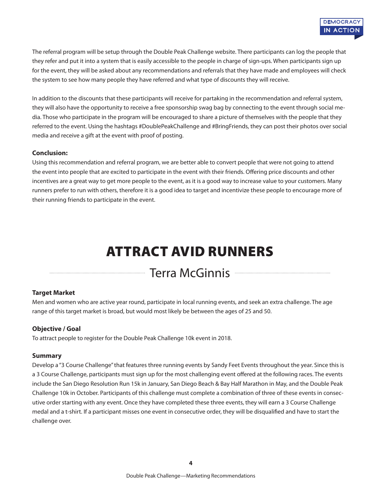The referral program will be setup through the Double Peak Challenge website. There participants can log the people that they refer and put it into a system that is easily accessible to the people in charge of sign-ups. When participants sign up for the event, they will be asked about any recommendations and referrals that they have made and employees will check the system to see how many people they have referred and what type of discounts they will receive.

In addition to the discounts that these participants will receive for partaking in the recommendation and referral system, they will also have the opportunity to receive a free sponsorship swag bag by connecting to the event through social media. Those who participate in the program will be encouraged to share a picture of themselves with the people that they referred to the event. Using the hashtags #DoublePeakChallenge and #BringFriends, they can post their photos over social media and receive a gift at the event with proof of posting.

#### **Conclusion:**

Using this recommendation and referral program, we are better able to convert people that were not going to attend the event into people that are excited to participate in the event with their friends. Offering price discounts and other incentives are a great way to get more people to the event, as it is a good way to increase value to your customers. Many runners prefer to run with others, therefore it is a good idea to target and incentivize these people to encourage more of their running friends to participate in the event.

## ATTRACT AVID RUNNERS

### Terra McGinnis

#### **Target Market**

Men and women who are active year round, participate in local running events, and seek an extra challenge. The age range of this target market is broad, but would most likely be between the ages of 25 and 50.

#### **Objective / Goal**

To attract people to register for the Double Peak Challenge 10k event in 2018.

#### **Summary**

Develop a "3 Course Challenge" that features three running events by Sandy Feet Events throughout the year. Since this is a 3 Course Challenge, participants must sign up for the most challenging event offered at the following races. The events include the San Diego Resolution Run 15k in January, San Diego Beach & Bay Half Marathon in May, and the Double Peak Challenge 10k in October. Participants of this challenge must complete a combination of three of these events in consecutive order starting with any event. Once they have completed these three events, they will earn a 3 Course Challenge medal and a t-shirt. If a participant misses one event in consecutive order, they will be disqualified and have to start the challenge over.

**4**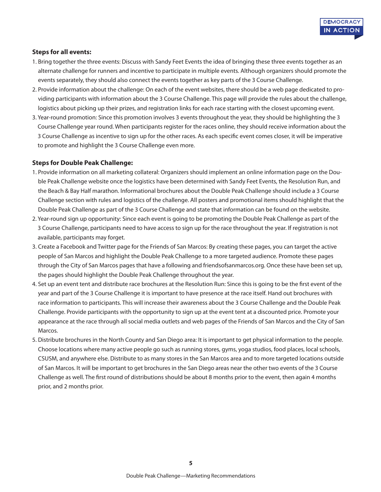#### **Steps for all events:**

- 1. Bring together the three events: Discuss with Sandy Feet Events the idea of bringing these three events together as an alternate challenge for runners and incentive to participate in multiple events. Although organizers should promote the events separately, they should also connect the events together as key parts of the 3 Course Challenge.
- 2. Provide information about the challenge: On each of the event websites, there should be a web page dedicated to providing participants with information about the 3 Course Challenge. This page will provide the rules about the challenge, logistics about picking up their prizes, and registration links for each race starting with the closest upcoming event.
- 3. Year-round promotion: Since this promotion involves 3 events throughout the year, they should be highlighting the 3 Course Challenge year round. When participants register for the races online, they should receive information about the 3 Course Challenge as incentive to sign up for the other races. As each specific event comes closer, it will be imperative to promote and highlight the 3 Course Challenge even more.

#### **Steps for Double Peak Challenge:**

- 1. Provide information on all marketing collateral: Organizers should implement an online information page on the Double Peak Challenge website once the logistics have been determined with Sandy Feet Events, the Resolution Run, and the Beach & Bay Half marathon. Informational brochures about the Double Peak Challenge should include a 3 Course Challenge section with rules and logistics of the challenge. All posters and promotional items should highlight that the Double Peak Challenge as part of the 3 Course Challenge and state that information can be found on the website.
- 2. Year-round sign up opportunity: Since each event is going to be promoting the Double Peak Challenge as part of the 3 Course Challenge, participants need to have access to sign up for the race throughout the year. If registration is not available, participants may forget.
- 3. Create a Facebook and Twitter page for the Friends of San Marcos: By creating these pages, you can target the active people of San Marcos and highlight the Double Peak Challenge to a more targeted audience. Promote these pages through the City of San Marcos pages that have a following and friendsofsanmarcos.org. Once these have been set up, the pages should highlight the Double Peak Challenge throughout the year.
- 4. Set up an event tent and distribute race brochures at the Resolution Run: Since this is going to be the first event of the year and part of the 3 Course Challenge it is important to have presence at the race itself. Hand out brochures with race information to participants. This will increase their awareness about the 3 Course Challenge and the Double Peak Challenge. Provide participants with the opportunity to sign up at the event tent at a discounted price. Promote your appearance at the race through all social media outlets and web pages of the Friends of San Marcos and the City of San Marcos.
- 5. Distribute brochures in the North County and San Diego area: It is important to get physical information to the people. Choose locations where many active people go such as running stores, gyms, yoga studios, food places, local schools, CSUSM, and anywhere else. Distribute to as many stores in the San Marcos area and to more targeted locations outside of San Marcos. It will be important to get brochures in the San Diego areas near the other two events of the 3 Course Challenge as well. The first round of distributions should be about 8 months prior to the event, then again 4 months prior, and 2 months prior.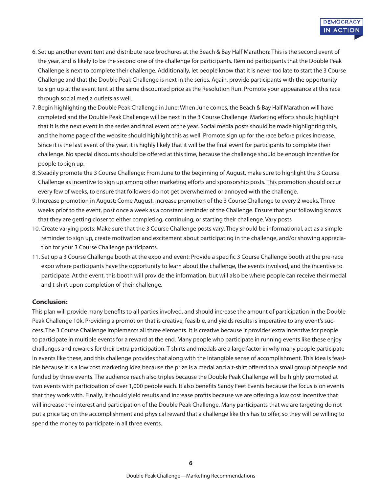- 6. Set up another event tent and distribute race brochures at the Beach & Bay Half Marathon: This is the second event of the year, and is likely to be the second one of the challenge for participants. Remind participants that the Double Peak Challenge is next to complete their challenge. Additionally, let people know that it is never too late to start the 3 Course Challenge and that the Double Peak Challenge is next in the series. Again, provide participants with the opportunity to sign up at the event tent at the same discounted price as the Resolution Run. Promote your appearance at this race through social media outlets as well.
- 7. Begin highlighting the Double Peak Challenge in June: When June comes, the Beach & Bay Half Marathon will have completed and the Double Peak Challenge will be next in the 3 Course Challenge. Marketing efforts should highlight that it is the next event in the series and final event of the year. Social media posts should be made highlighting this, and the home page of the website should highlight this as well. Promote sign up for the race before prices increase. Since it is the last event of the year, it is highly likely that it will be the final event for participants to complete their challenge. No special discounts should be offered at this time, because the challenge should be enough incentive for people to sign up.
- 8. Steadily promote the 3 Course Challenge: From June to the beginning of August, make sure to highlight the 3 Course Challenge as incentive to sign up among other marketing efforts and sponsorship posts. This promotion should occur every few of weeks, to ensure that followers do not get overwhelmed or annoyed with the challenge.
- 9. Increase promotion in August: Come August, increase promotion of the 3 Course Challenge to every 2 weeks. Three weeks prior to the event, post once a week as a constant reminder of the Challenge. Ensure that your following knows that they are getting closer to either completing, continuing, or starting their challenge. Vary posts
- 10. Create varying posts: Make sure that the 3 Course Challenge posts vary. They should be informational, act as a simple reminder to sign up, create motivation and excitement about participating in the challenge, and/or showing appreciation for your 3 Course Challenge participants.
- 11. Set up a 3 Course Challenge booth at the expo and event: Provide a specific 3 Course Challenge booth at the pre-race expo where participants have the opportunity to learn about the challenge, the events involved, and the incentive to participate. At the event, this booth will provide the information, but will also be where people can receive their medal and t-shirt upon completion of their challenge.

#### **Conclusion:**

This plan will provide many benefits to all parties involved, and should increase the amount of participation in the Double Peak Challenge 10k. Providing a promotion that is creative, feasible, and yields results is imperative to any event's success. The 3 Course Challenge implements all three elements. It is creative because it provides extra incentive for people to participate in multiple events for a reward at the end. Many people who participate in running events like these enjoy challenges and rewards for their extra participation. T-shirts and medals are a large factor in why many people participate in events like these, and this challenge provides that along with the intangible sense of accomplishment. This idea is feasible because it is a low cost marketing idea because the prize is a medal and a t-shirt offered to a small group of people and funded by three events. The audience reach also triples because the Double Peak Challenge will be highly promoted at two events with participation of over 1,000 people each. It also benefits Sandy Feet Events because the focus is on events that they work with. Finally, it should yield results and increase profits because we are offering a low cost incentive that will increase the interest and participation of the Double Peak Challenge. Many participants that we are targeting do not put a price tag on the accomplishment and physical reward that a challenge like this has to offer, so they will be willing to spend the money to participate in all three events.

**6**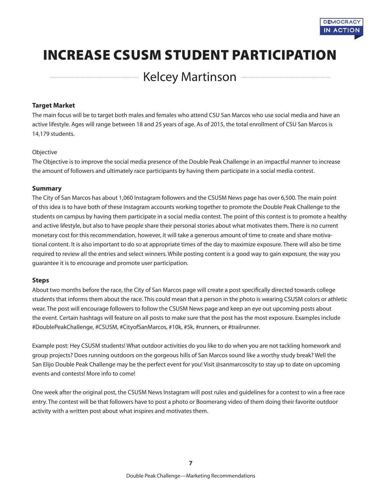

## INCREASE CSUSM STUDENT PARTICIPATION

**Example 21 Yelcey Martinson** 

#### **Target Market**

The main focus will be to target both males and females who attend CSU San Marcos who use social media and have an active lifestyle. Ages will range between 18 and 25 years of age. As of 2015, the total enrollment of CSU San Marcos is 14,179 students.

#### Objective

The Objective is to improve the social media presence of the Double Peak Challenge in an impactful manner to increase the amount of followers and ultimately race participants by having them participate in a social media contest.

#### **Summary**

The City of San Marcos has about 1,060 Instagram followers and the CSUSM News page has over 6,500. The main point of this idea is to have both of these Instagram accounts working together to promote the Double Peak Challenge to the students on campus by having them participate in a social media contest. The point of this contest is to promote a healthy and active lifestyle, but also to have people share their personal stories about what motivates them. There is no current monetary cost for this recommendation, however, it will take a generous amount of time to create and share motivational content. It is also important to do so at appropriate times of the day to maximize exposure. There will also be time required to review all the entries and select winners. While posting content is a good way to gain exposure, the way you guarantee it is to encourage and promote user participation.

#### **Steps**

About two months before the race, the City of San Marcos page will create a post specifically directed towards college students that informs them about the race. This could mean that a person in the photo is wearing CSUSM colors or athletic wear. The post will encourage followers to follow the CSUSM News page and keep an eye out upcoming posts about the event. Certain hashtags will feature on all posts to make sure that the post has the most exposure. Examples include #DoublePeakChallenge, #CSUSM, #CityofSanMarcos, #10k, #5k, #runners, or #trailrunner.

Example post: Hey CSUSM students! What outdoor activities do you like to do when you are not tackling homework and group projects? Does running outdoors on the gorgeous hills of San Marcos sound like a worthy study break? Well the San Elijo Double Peak Challenge may be the perfect event for you! Visit @sanmarcoscity to stay up to date on upcoming events and contests! More info to come!

One week after the original post, the CSUSM News Instagram will post rules and guidelines for a contest to win a free race entry. The contest will be that followers have to post a photo or Boomerang video of them doing their favorite outdoor activity with a written post about what inspires and motivates them.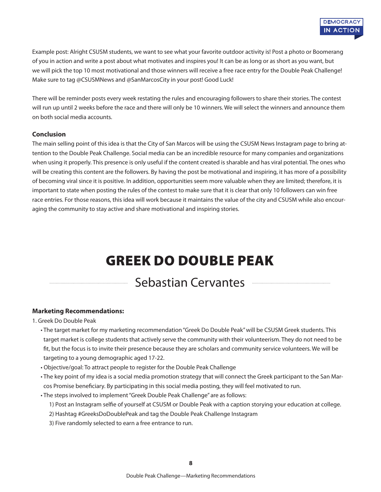

Example post: Alright CSUSM students, we want to see what your favorite outdoor activity is! Post a photo or Boomerang of you in action and write a post about what motivates and inspires you! It can be as long or as short as you want, but we will pick the top 10 most motivational and those winners will receive a free race entry for the Double Peak Challenge! Make sure to tag @CSUSMNews and @SanMarcosCity in your post! Good Luck!

There will be reminder posts every week restating the rules and encouraging followers to share their stories. The contest will run up until 2 weeks before the race and there will only be 10 winners. We will select the winners and announce them on both social media accounts.

#### **Conclusion**

The main selling point of this idea is that the City of San Marcos will be using the CSUSM News Instagram page to bring attention to the Double Peak Challenge. Social media can be an incredible resource for many companies and organizations when using it properly. This presence is only useful if the content created is sharable and has viral potential. The ones who will be creating this content are the followers. By having the post be motivational and inspiring, it has more of a possibility of becoming viral since it is positive. In addition, opportunities seem more valuable when they are limited; therefore, it is important to state when posting the rules of the contest to make sure that it is clear that only 10 followers can win free race entries. For those reasons, this idea will work because it maintains the value of the city and CSUSM while also encouraging the community to stay active and share motivational and inspiring stories.

## GREEK DO DOUBLE PEAK

### Sebastian Cervantes

#### **Marketing Recommendations:**

1. Greek Do Double Peak

- The target market for my marketing recommendation "Greek Do Double Peak" will be CSUSM Greek students. This target market is college students that actively serve the community with their volunteerism. They do not need to be fit, but the focus is to invite their presence because they are scholars and community service volunteers. We will be targeting to a young demographic aged 17-22.
- Objective/goal: To attract people to register for the Double Peak Challenge
- The key point of my idea is a social media promotion strategy that will connect the Greek participant to the San Marcos Promise beneficiary. By participating in this social media posting, they will feel motivated to run.
- The steps involved to implement "Greek Double Peak Challenge" are as follows:
	- 1) Post an Instagram selfie of yourself at CSUSM or Double Peak with a caption storying your education at college.
	- 2) Hashtag #GreeksDoDoublePeak and tag the Double Peak Challenge Instagram
	- 3) Five randomly selected to earn a free entrance to run.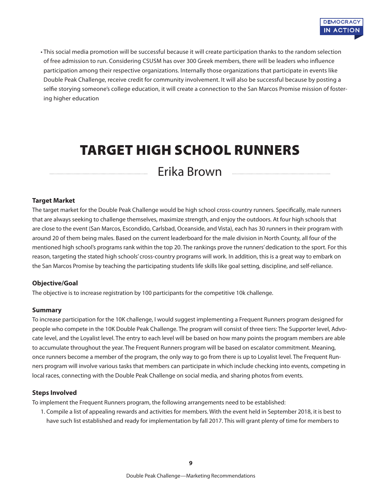

• This social media promotion will be successful because it will create participation thanks to the random selection of free admission to run. Considering CSUSM has over 300 Greek members, there will be leaders who influence participation among their respective organizations. Internally those organizations that participate in events like Double Peak Challenge, receive credit for community involvement. It will also be successful because by posting a selfie storying someone's college education, it will create a connection to the San Marcos Promise mission of fostering higher education

## TARGET HIGH SCHOOL RUNNERS

Erika Brown

#### **Target Market**

The target market for the Double Peak Challenge would be high school cross-country runners. Specifically, male runners that are always seeking to challenge themselves, maximize strength, and enjoy the outdoors. At four high schools that are close to the event (San Marcos, Escondido, Carlsbad, Oceanside, and Vista), each has 30 runners in their program with around 20 of them being males. Based on the current leaderboard for the male division in North County, all four of the mentioned high school's programs rank within the top 20. The rankings prove the runners' dedication to the sport. For this reason, targeting the stated high schools' cross-country programs will work. In addition, this is a great way to embark on the San Marcos Promise by teaching the participating students life skills like goal setting, discipline, and self-reliance.

#### **Objective/Goal**

The objective is to increase registration by 100 participants for the competitive 10k challenge.

#### **Summary**

To increase participation for the 10K challenge, I would suggest implementing a Frequent Runners program designed for people who compete in the 10K Double Peak Challenge. The program will consist of three tiers: The Supporter level, Advocate level, and the Loyalist level. The entry to each level will be based on how many points the program members are able to accumulate throughout the year. The Frequent Runners program will be based on escalator commitment. Meaning, once runners become a member of the program, the only way to go from there is up to Loyalist level. The Frequent Runners program will involve various tasks that members can participate in which include checking into events, competing in local races, connecting with the Double Peak Challenge on social media, and sharing photos from events.

#### **Steps Involved**

To implement the Frequent Runners program, the following arrangements need to be established:

1. Compile a list of appealing rewards and activities for members. With the event held in September 2018, it is best to have such list established and ready for implementation by fall 2017. This will grant plenty of time for members to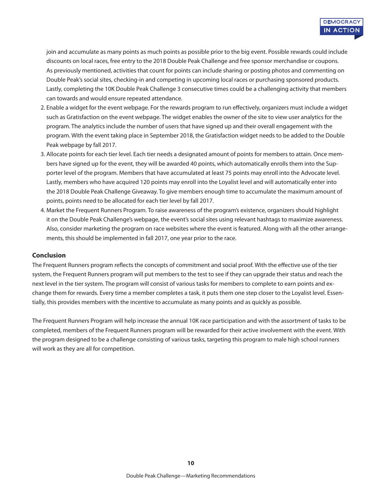join and accumulate as many points as much points as possible prior to the big event. Possible rewards could include discounts on local races, free entry to the 2018 Double Peak Challenge and free sponsor merchandise or coupons. As previously mentioned, activities that count for points can include sharing or posting photos and commenting on Double Peak's social sites, checking-in and competing in upcoming local races or purchasing sponsored products. Lastly, completing the 10K Double Peak Challenge 3 consecutive times could be a challenging activity that members can towards and would ensure repeated attendance.

- 2. Enable a widget for the event webpage. For the rewards program to run effectively, organizers must include a widget such as Gratisfaction on the event webpage. The widget enables the owner of the site to view user analytics for the program. The analytics include the number of users that have signed up and their overall engagement with the program. With the event taking place in September 2018, the Gratisfaction widget needs to be added to the Double Peak webpage by fall 2017.
- 3. Allocate points for each tier level. Each tier needs a designated amount of points for members to attain. Once members have signed up for the event, they will be awarded 40 points, which automatically enrolls them into the Supporter level of the program. Members that have accumulated at least 75 points may enroll into the Advocate level. Lastly, members who have acquired 120 points may enroll into the Loyalist level and will automatically enter into the 2018 Double Peak Challenge Giveaway. To give members enough time to accumulate the maximum amount of points, points need to be allocated for each tier level by fall 2017.
- 4. Market the Frequent Runners Program. To raise awareness of the program's existence, organizers should highlight it on the Double Peak Challenge's webpage, the event's social sites using relevant hashtags to maximize awareness. Also, consider marketing the program on race websites where the event is featured. Along with all the other arrangements, this should be implemented in fall 2017, one year prior to the race.

#### **Conclusion**

The Frequent Runners program reflects the concepts of commitment and social proof. With the effective use of the tier system, the Frequent Runners program will put members to the test to see if they can upgrade their status and reach the next level in the tier system. The program will consist of various tasks for members to complete to earn points and exchange them for rewards. Every time a member completes a task, it puts them one step closer to the Loyalist level. Essentially, this provides members with the incentive to accumulate as many points and as quickly as possible.

The Frequent Runners Program will help increase the annual 10K race participation and with the assortment of tasks to be completed, members of the Frequent Runners program will be rewarded for their active involvement with the event. With the program designed to be a challenge consisting of various tasks, targeting this program to male high school runners will work as they are all for competition.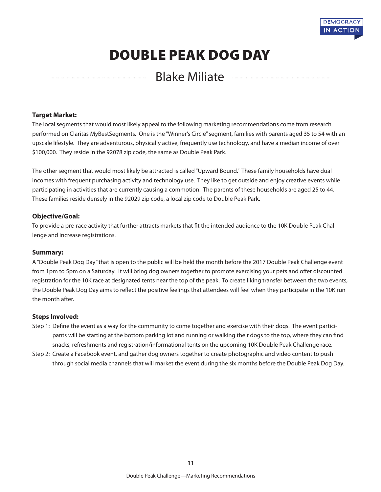

### DOUBLE PEAK DOG DAY

### Blake Miliate

#### **Target Market:**

The local segments that would most likely appeal to the following marketing recommendations come from research performed on Claritas MyBestSegments. One is the "Winner's Circle" segment, families with parents aged 35 to 54 with an upscale lifestyle. They are adventurous, physically active, frequently use technology, and have a median income of over \$100,000. They reside in the 92078 zip code, the same as Double Peak Park.

The other segment that would most likely be attracted is called "Upward Bound." These family households have dual incomes with frequent purchasing activity and technology use. They like to get outside and enjoy creative events while participating in activities that are currently causing a commotion. The parents of these households are aged 25 to 44. These families reside densely in the 92029 zip code, a local zip code to Double Peak Park.

#### **Objective/Goal:**

To provide a pre-race activity that further attracts markets that fit the intended audience to the 10K Double Peak Challenge and increase registrations.

#### **Summary:**

A "Double Peak Dog Day" that is open to the public will be held the month before the 2017 Double Peak Challenge event from 1pm to 5pm on a Saturday. It will bring dog owners together to promote exercising your pets and offer discounted registration for the 10K race at designated tents near the top of the peak. To create liking transfer between the two events, the Double Peak Dog Day aims to reflect the positive feelings that attendees will feel when they participate in the 10K run the month after.

#### **Steps Involved:**

- Step 1: Define the event as a way for the community to come together and exercise with their dogs. The event participants will be starting at the bottom parking lot and running or walking their dogs to the top, where they can find snacks, refreshments and registration/informational tents on the upcoming 10K Double Peak Challenge race.
- Step 2: Create a Facebook event, and gather dog owners together to create photographic and video content to push through social media channels that will market the event during the six months before the Double Peak Dog Day.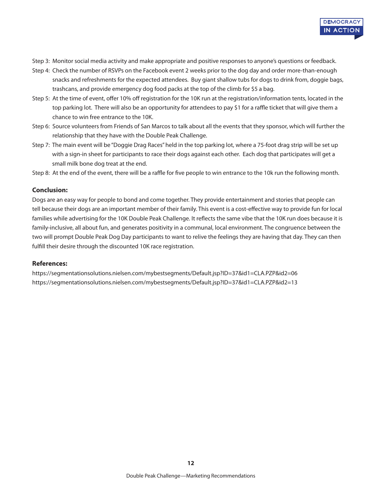

- Step 3: Monitor social media activity and make appropriate and positive responses to anyone's questions or feedback.
- Step 4: Check the number of RSVPs on the Facebook event 2 weeks prior to the dog day and order more-than-enough snacks and refreshments for the expected attendees. Buy giant shallow tubs for dogs to drink from, doggie bags, trashcans, and provide emergency dog food packs at the top of the climb for \$5 a bag.
- Step 5: At the time of event, offer 10% off registration for the 10K run at the registration/information tents, located in the top parking lot. There will also be an opportunity for attendees to pay \$1 for a raffle ticket that will give them a chance to win free entrance to the 10K.
- Step 6: Source volunteers from Friends of San Marcos to talk about all the events that they sponsor, which will further the relationship that they have with the Double Peak Challenge.
- Step 7: The main event will be "Doggie Drag Races" held in the top parking lot, where a 75-foot drag strip will be set up with a sign-in sheet for participants to race their dogs against each other. Each dog that participates will get a small milk bone dog treat at the end.
- Step 8: At the end of the event, there will be a raffle for five people to win entrance to the 10k run the following month.

#### **Conclusion:**

Dogs are an easy way for people to bond and come together. They provide entertainment and stories that people can tell because their dogs are an important member of their family. This event is a cost-effective way to provide fun for local families while advertising for the 10K Double Peak Challenge. It reflects the same vibe that the 10K run does because it is family-inclusive, all about fun, and generates positivity in a communal, local environment. The congruence between the two will prompt Double Peak Dog Day participants to want to relive the feelings they are having that day. They can then fulfill their desire through the discounted 10K race registration.

#### **References:**

https://segmentationsolutions.nielsen.com/mybestsegments/Default.jsp?ID=37&id1=CLA.PZP&id2=06 https://segmentationsolutions.nielsen.com/mybestsegments/Default.jsp?ID=37&id1=CLA.PZP&id2=13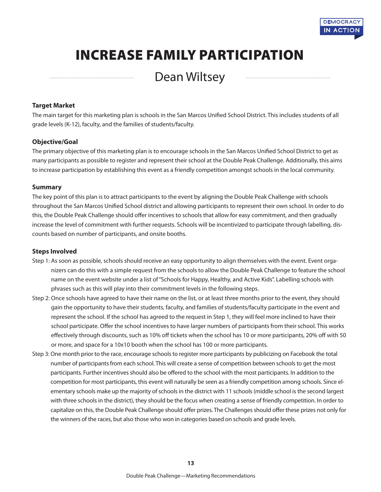

## INCREASE FAMILY PARTICIPATION

### Dean Wiltsey

#### **Target Market**

The main target for this marketing plan is schools in the San Marcos Unified School District. This includes students of all grade levels (K-12), faculty, and the families of students/faculty.

#### **Objective/Goal**

The primary objective of this marketing plan is to encourage schools in the San Marcos Unified School District to get as many participants as possible to register and represent their school at the Double Peak Challenge. Additionally, this aims to increase participation by establishing this event as a friendly competition amongst schools in the local community.

#### **Summary**

The key point of this plan is to attract participants to the event by aligning the Double Peak Challenge with schools throughout the San Marcos Unified School district and allowing participants to represent their own school. In order to do this, the Double Peak Challenge should offer incentives to schools that allow for easy commitment, and then gradually increase the level of commitment with further requests. Schools will be incentivized to participate through labelling, discounts based on number of participants, and onsite booths.

#### **Steps Involved**

- Step 1: As soon as possible, schools should receive an easy opportunity to align themselves with the event. Event organizers can do this with a simple request from the schools to allow the Double Peak Challenge to feature the school name on the event website under a list of "Schools for Happy, Healthy, and Active Kids". Labelling schools with phrases such as this will play into their commitment levels in the following steps.
- Step 2: Once schools have agreed to have their name on the list, or at least three months prior to the event, they should gain the opportunity to have their students, faculty, and families of students/faculty participate in the event and represent the school. If the school has agreed to the request in Step 1, they will feel more inclined to have their school participate. Offer the school incentives to have larger numbers of participants from their school. This works effectively through discounts, such as 10% off tickets when the school has 10 or more participants, 20% off with 50 or more, and space for a 10x10 booth when the school has 100 or more participants.
- Step 3: One month prior to the race, encourage schools to register more participants by publicizing on Facebook the total number of participants from each school. This will create a sense of competition between schools to get the most participants. Further incentives should also be offered to the school with the most participants. In addition to the competition for most participants, this event will naturally be seen as a friendly competition among schools. Since elementary schools make up the majority of schools in the district with 11 schools (middle school is the second largest with three schools in the district), they should be the focus when creating a sense of friendly competition. In order to capitalize on this, the Double Peak Challenge should offer prizes. The Challenges should offer these prizes not only for the winners of the races, but also those who won in categories based on schools and grade levels.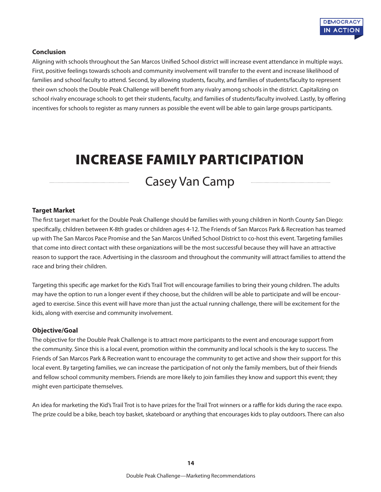

#### **Conclusion**

Aligning with schools throughout the San Marcos Unified School district will increase event attendance in multiple ways. First, positive feelings towards schools and community involvement will transfer to the event and increase likelihood of families and school faculty to attend. Second, by allowing students, faculty, and families of students/faculty to represent their own schools the Double Peak Challenge will benefit from any rivalry among schools in the district. Capitalizing on school rivalry encourage schools to get their students, faculty, and families of students/faculty involved. Lastly, by offering incentives for schools to register as many runners as possible the event will be able to gain large groups participants.

## INCREASE FAMILY PARTICIPATION

### Casey Van Camp

#### **Target Market**

The first target market for the Double Peak Challenge should be families with young children in North County San Diego: specifically, children between K-8th grades or children ages 4-12. The Friends of San Marcos Park & Recreation has teamed up with The San Marcos Pace Promise and the San Marcos Unified School District to co-host this event. Targeting families that come into direct contact with these organizations will be the most successful because they will have an attractive reason to support the race. Advertising in the classroom and throughout the community will attract families to attend the race and bring their children.

Targeting this specific age market for the Kid's Trail Trot will encourage families to bring their young children. The adults may have the option to run a longer event if they choose, but the children will be able to participate and will be encouraged to exercise. Since this event will have more than just the actual running challenge, there will be excitement for the kids, along with exercise and community involvement.

#### **Objective/Goal**

The objective for the Double Peak Challenge is to attract more participants to the event and encourage support from the community. Since this is a local event, promotion within the community and local schools is the key to success. The Friends of San Marcos Park & Recreation want to encourage the community to get active and show their support for this local event. By targeting families, we can increase the participation of not only the family members, but of their friends and fellow school community members. Friends are more likely to join families they know and support this event; they might even participate themselves.

An idea for marketing the Kid's Trail Trot is to have prizes for the Trail Trot winners or a raffle for kids during the race expo. The prize could be a bike, beach toy basket, skateboard or anything that encourages kids to play outdoors. There can also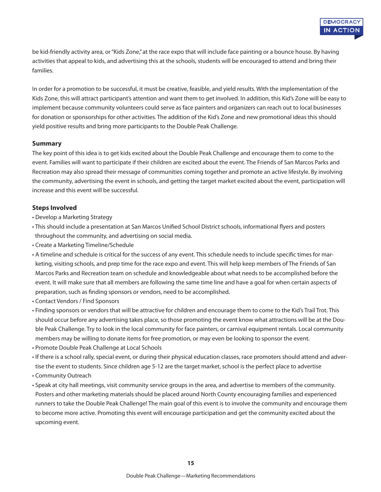be kid-friendly activity area, or "Kids Zone," at the race expo that will include face painting or a bounce house. By having activities that appeal to kids, and advertising this at the schools, students will be encouraged to attend and bring their families.

In order for a promotion to be successful, it must be creative, feasible, and yield results. With the implementation of the Kids Zone, this will attract participant's attention and want them to get involved. In addition, this Kid's Zone will be easy to implement because community volunteers could serve as face painters and organizers can reach out to local businesses for donation or sponsorships for other activities. The addition of the Kid's Zone and new promotional ideas this should yield positive results and bring more participants to the Double Peak Challenge.

#### **Summary**

The key point of this idea is to get kids excited about the Double Peak Challenge and encourage them to come to the event. Families will want to participate if their children are excited about the event. The Friends of San Marcos Parks and Recreation may also spread their message of communities coming together and promote an active lifestyle. By involving the community, advertising the event in schools, and getting the target market excited about the event, participation will increase and this event will be successful.

#### **Steps Involved**

- Develop a Marketing Strategy
- This should include a presentation at San Marcos Unified School District schools, informational flyers and posters throughout the community, and advertising on social media.
- Create a Marketing Timeline/Schedule
- A timeline and schedule is critical for the success of any event. This schedule needs to include specific times for marketing, visiting schools, and prep time for the race expo and event. This will help keep members of The Friends of San Marcos Parks and Recreation team on schedule and knowledgeable about what needs to be accomplished before the event. It will make sure that all members are following the same time line and have a goal for when certain aspects of preparation, such as finding sponsors or vendors, need to be accomplished.
- Contact Vendors / Find Sponsors
- Finding sponsors or vendors that will be attractive for children and encourage them to come to the Kid's Trail Trot. This should occur before any advertising takes place, so those promoting the event know what attractions will be at the Double Peak Challenge. Try to look in the local community for face painters, or carnival equipment rentals. Local community members may be willing to donate items for free promotion, or may even be looking to sponsor the event.
- Promote Double Peak Challenge at Local Schools
- If there is a school rally, special event, or during their physical education classes, race promoters should attend and advertise the event to students. Since children age 5-12 are the target market, school is the perfect place to advertise
- Community Outreach
- Speak at city hall meetings, visit community service groups in the area, and advertise to members of the community. Posters and other marketing materials should be placed around North County encouraging families and experienced runners to take the Double Peak Challenge! The main goal of this event is to involve the community and encourage them to become more active. Promoting this event will encourage participation and get the community excited about the upcoming event.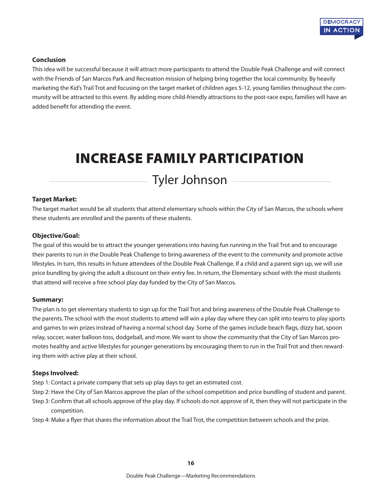

#### **Conclusion**

This idea will be successful because it will attract more participants to attend the Double Peak Challenge and will connect with the Friends of San Marcos Park and Recreation mission of helping bring together the local community. By heavily marketing the Kid's Trail Trot and focusing on the target market of children ages 5-12, young families throughout the community will be attracted to this event. By adding more child-friendly attractions to the post-race expo, families will have an added benefit for attending the event.

## INCREASE FAMILY PARTICIPATION

Tyler Johnson

#### **Target Market:**

The target market would be all students that attend elementary schools within the City of San Marcos, the schools where these students are enrolled and the parents of these students.

#### **Objective/Goal:**

The goal of this would be to attract the younger generations into having fun running in the Trail Trot and to encourage their parents to run in the Double Peak Challenge to bring awareness of the event to the community and promote active lifestyles. In turn, this results in future attendees of the Double Peak Challenge. If a child and a parent sign up, we will use price bundling by giving the adult a discount on their entry fee. In return, the Elementary school with the most students that attend will receive a free school play day funded by the City of San Marcos.

#### **Summary:**

The plan is to get elementary students to sign up for the Trail Trot and bring awareness of the Double Peak Challenge to the parents. The school with the most students to attend will win a play day where they can split into teams to play sports and games to win prizes instead of having a normal school day. Some of the games include beach flags, dizzy bat, spoon relay, soccer, water balloon toss, dodgeball, and more. We want to show the community that the City of San Marcos promotes healthy and active lifestyles for younger generations by encouraging them to run in the Trail Trot and then rewarding them with active play at their school.

#### **Steps Involved:**

- Step 1: Contact a private company that sets up play days to get an estimated cost.
- Step 2: Have the City of San Marcos approve the plan of the school competition and price bundling of student and parent.
- Step 3: Confirm that all schools approve of the play day. If schools do not approve of it, then they will not participate in the competition.
- Step 4: Make a flyer that shares the information about the Trail Trot, the competition between schools and the prize.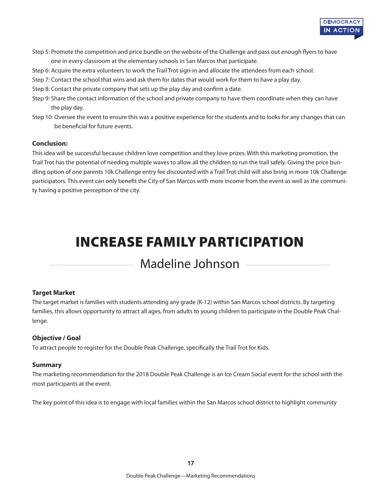

- Step 5: Promote the competition and price bundle on the website of the Challenge and pass out enough flyers to have one in every classroom at the elementary schools in San Marcos that participate.
- Step 6: Acquire the extra volunteers to work the Trail Trot sign-in and allocate the attendees from each school.
- Step 7: Contact the school that wins and ask them for dates that would work for them to have a play day.
- Step 8: Contact the private company that sets up the play day and confirm a date.
- Step 9: Share the contact information of the school and private company to have them coordinate when they can have the play day.
- Step 10: Oversee the event to ensure this was a positive experience for the students and to looks for any changes that can be beneficial for future events.

#### **Conclusion:**

This idea will be successful because children love competition and they love prizes. With this marketing promotion, the Trail Trot has the potential of needing multiple waves to allow all the children to run the trail safely. Giving the price bundling option of one parents 10k Challenge entry fee discounted with a Trail Trot child will also bring in more 10k Challenge participators. This event can only benefit the City of San Marcos with more income from the event as well as the community having a positive perception of the city.

## INCREASE FAMILY PARTICIPATION

### Madeline Johnson

#### **Target Market**

The target market is families with students attending any grade (K-12) within San Marcos school districts. By targeting families, this allows opportunity to attract all ages, from adults to young children to participate in the Double Peak Challenge.

#### **Objective / Goal**

To attract people to register for the Double Peak Challenge, specifically the Trail Trot for Kids.

#### **Summary**

The marketing recommendation for the 2018 Double Peak Challenge is an Ice Cream Social event for the school with the most participants at the event.

The key point of this idea is to engage with local families within the San Marcos school district to highlight community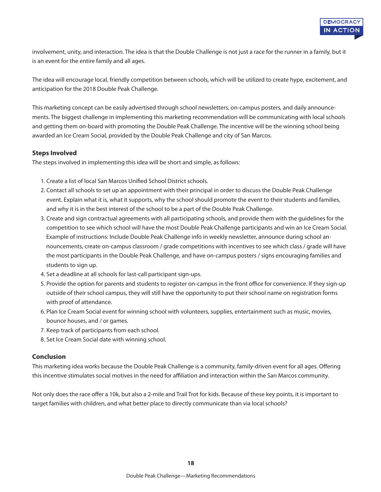involvement, unity, and interaction. The idea is that the Double Challenge is not just a race for the runner in a family, but it is an event for the entire family and all ages.

The idea will encourage local, friendly competition between schools, which will be utilized to create hype, excitement, and anticipation for the 2018 Double Peak Challenge.

This marketing concept can be easily advertised through school newsletters, on-campus posters, and daily announcements. The biggest challenge in implementing this marketing recommendation will be communicating with local schools and getting them on-board with promoting the Double Peak Challenge. The incentive will be the winning school being awarded an Ice Cream Social, provided by the Double Peak Challenge and city of San Marcos.

#### **Steps Involved**

The steps involved in implementing this idea will be short and simple, as follows:

- 1. Create a list of local San Marcos Unified School District schools.
- 2. Contact all schools to set up an appointment with their principal in order to discuss the Double Peak Challenge event. Explain what it is, what it supports, why the school should promote the event to their students and families, and why it is in the best interest of the school to be a part of the Double Peak Challenge.
- 3. Create and sign contractual agreements with all participating schools, and provide them with the guidelines for the competition to see which school will have the most Double Peak Challenge participants and win an Ice Cream Social. Example of instructions: Include Double Peak Challenge info in weekly newsletter, announce during school announcements, create on-campus classroom / grade competitions with incentives to see which class / grade will have the most participants in the Double Peak Challenge, and have on-campus posters / signs encouraging families and students to sign up.
- 4. Set a deadline at all schools for last-call participant sign-ups.
- 5. Provide the option for parents and students to register on-campus in the front office for convenience. If they sign-up outside of their school campus, they will still have the opportunity to put their school name on registration forms with proof of attendance.
- 6. Plan Ice Cream Social event for winning school with volunteers, supplies, entertainment such as music, movies, bounce houses, and / or games.
- 7. Keep track of participants from each school.
- 8. Set Ice Cream Social date with winning school.

#### **Conclusion**

This marketing idea works because the Double Peak Challenge is a community, family-driven event for all ages. Offering this incentive stimulates social motives in the need for affiliation and interaction within the San Marcos community.

Not only does the race offer a 10k, but also a 2-mile and Trail Trot for kids. Because of these key points, it is important to target families with children, and what better place to directly communicate than via local schools?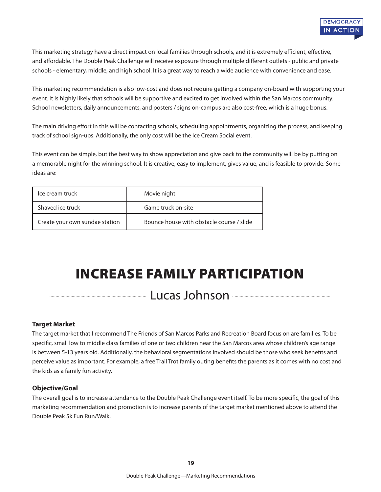

This marketing strategy have a direct impact on local families through schools, and it is extremely efficient, effective, and affordable. The Double Peak Challenge will receive exposure through multiple different outlets - public and private schools - elementary, middle, and high school. It is a great way to reach a wide audience with convenience and ease.

This marketing recommendation is also low-cost and does not require getting a company on-board with supporting your event. It is highly likely that schools will be supportive and excited to get involved within the San Marcos community. School newsletters, daily announcements, and posters / signs on-campus are also cost-free, which is a huge bonus.

The main driving effort in this will be contacting schools, scheduling appointments, organizing the process, and keeping track of school sign-ups. Additionally, the only cost will be the Ice Cream Social event.

This event can be simple, but the best way to show appreciation and give back to the community will be by putting on a memorable night for the winning school. It is creative, easy to implement, gives value, and is feasible to provide. Some ideas are:

| Ice cream truck                | Movie night                               |
|--------------------------------|-------------------------------------------|
| Shaved ice truck               | Game truck on-site                        |
| Create your own sundae station | Bounce house with obstacle course / slide |

## INCREASE FAMILY PARTICIPATION

### Lucas Johnson

#### **Target Market**

The target market that I recommend The Friends of San Marcos Parks and Recreation Board focus on are families. To be specific, small low to middle class families of one or two children near the San Marcos area whose children's age range is between 5-13 years old. Additionally, the behavioral segmentations involved should be those who seek benefits and perceive value as important. For example, a free Trail Trot family outing benefits the parents as it comes with no cost and the kids as a family fun activity.

#### **Objective/Goal**

The overall goal is to increase attendance to the Double Peak Challenge event itself. To be more specific, the goal of this marketing recommendation and promotion is to increase parents of the target market mentioned above to attend the Double Peak 5k Fun Run/Walk.